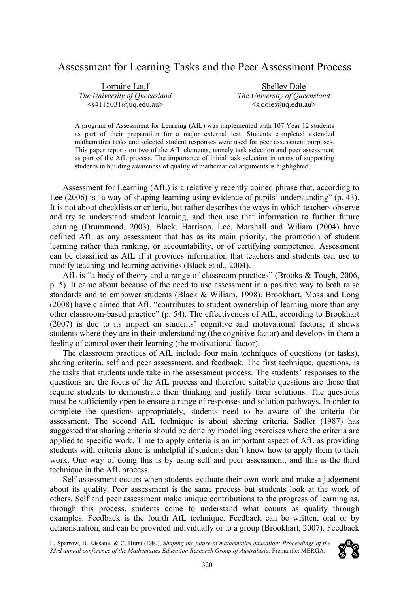# Assessment for Learning Tasks and the Peer Assessment Process

Lorraine Lauf *The University of Queensland*  $\leq$ s4115031@uq.edu.au>

Shelley Dole *The University of Queensland*  $\leq s.dole(\widehat{a})$ uq.edu.au $>$ 

A program of Assessment for Learning (AfL) was implemented with 107 Year 12 students as part of their preparation for a major external test. Students completed extended mathematics tasks and selected student responses were used for peer assessment purposes. This paper reports on two of the AfL elements, namely task selection and peer assessment as part of the AfL process. The importance of initial task selection in terms of supporting students in building awareness of quality of mathematical arguments is highlighted.

Assessment for Learning (AfL) is a relatively recently coined phrase that, according to Lee (2006) is "a way of shaping learning using evidence of pupils' understanding" (p. 43). It is not about checklists or criteria, but rather describes the ways in which teachers observe and try to understand student learning, and then use that information to further future learning (Drummond, 2003). Black, Harrison, Lee, Marshall and Wiliam (2004) have defined AfL as any assessment that has as its main priority, the promotion of student learning rather than ranking, or accountability, or of certifying competence. Assessment can be classified as AfL if it provides information that teachers and students can use to modify teaching and learning activities (Black et al., 2004).

AfL is "a body of theory and a range of classroom practices" (Brooks & Tough, 2006, p. 5). It came about because of the need to use assessment in a positive way to both raise standards and to empower students (Black & Wiliam, 1998). Brookhart, Moss and Long (2008) have claimed that AfL "contributes to student ownership of learning more than any other classroom-based practice" (p. 54). The effectiveness of AfL, according to Brookhart (2007) is due to its impact on students' cognitive and motivational factors; it shows students where they are in their understanding (the cognitive factor) and develops in them a feeling of control over their learning (the motivational factor).

The classroom practices of AfL include four main techniques of questions (or tasks), sharing criteria, self and peer assessment, and feedback. The first technique, questions, is the tasks that students undertake in the assessment process. The students' responses to the questions are the focus of the AfL process and therefore suitable questions are those that require students to demonstrate their thinking and justify their solutions. The questions must be sufficiently open to ensure a range of responses and solution pathways. In order to complete the questions appropriately, students need to be aware of the criteria for assessment. The second AfL technique is about sharing criteria. Sadler (1987) has suggested that sharing criteria should be done by modelling exercises where the criteria are applied to specific work. Time to apply criteria is an important aspect of AfL as providing students with criteria alone is unhelpful if students don't know how to apply them to their work. One way of doing this is by using self and peer assessment, and this is the third technique in the AfL process.

Self assessment occurs when students evaluate their own work and make a judgement about its quality. Peer assessment is the same process but students look at the work of others. Self and peer assessment make unique contributions to the progress of learning as, through this process, students come to understand what counts as quality through examples. Feedback is the fourth AfL technique. Feedback can be written, oral or by demonstration, and can be provided individually or to a group (Brookhart, 2007). Feedback

L. Sparrow, B. Kissane, & C. Hurst (Eds.), *Shaping the future of mathematics education: Proceedings of the*  33rd annual conference of the Mathematics Education Research Group of Australasia. Fremantle: MERGA.

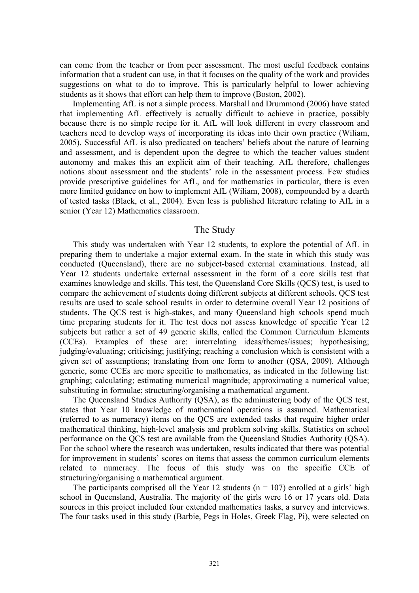can come from the teacher or from peer assessment. The most useful feedback contains information that a student can use, in that it focuses on the quality of the work and provides suggestions on what to do to improve. This is particularly helpful to lower achieving students as it shows that effort can help them to improve (Boston, 2002).

Implementing AfL is not a simple process. Marshall and Drummond (2006) have stated that implementing AfL effectively is actually difficult to achieve in practice, possibly because there is no simple recipe for it. AfL will look different in every classroom and teachers need to develop ways of incorporating its ideas into their own practice (Wiliam, 2005). Successful AfL is also predicated on teachers' beliefs about the nature of learning and assessment, and is dependent upon the degree to which the teacher values student autonomy and makes this an explicit aim of their teaching. AfL therefore, challenges notions about assessment and the students' role in the assessment process. Few studies provide prescriptive guidelines for AfL, and for mathematics in particular, there is even more limited guidance on how to implement AfL (Wiliam, 2008), compounded by a dearth of tested tasks (Black, et al., 2004). Even less is published literature relating to AfL in a senior (Year 12) Mathematics classroom.

## The Study

This study was undertaken with Year 12 students, to explore the potential of AfL in preparing them to undertake a major external exam. In the state in which this study was conducted (Queensland), there are no subject-based external examinations. Instead, all Year 12 students undertake external assessment in the form of a core skills test that examines knowledge and skills. This test, the Queensland Core Skills (QCS) test, is used to compare the achievement of students doing different subjects at different schools. QCS test results are used to scale school results in order to determine overall Year 12 positions of students. The QCS test is high-stakes, and many Queensland high schools spend much time preparing students for it. The test does not assess knowledge of specific Year 12 subjects but rather a set of 49 generic skills, called the Common Curriculum Elements (CCEs). Examples of these are: interrelating ideas/themes/issues; hypothesising; judging/evaluating; criticising; justifying; reaching a conclusion which is consistent with a given set of assumptions; translating from one form to another (QSA, 2009). Although generic, some CCEs are more specific to mathematics, as indicated in the following list: graphing; calculating; estimating numerical magnitude; approximating a numerical value; substituting in formulae; structuring/organising a mathematical argument.

The Queensland Studies Authority (QSA), as the administering body of the QCS test, states that Year 10 knowledge of mathematical operations is assumed. Mathematical (referred to as numeracy) items on the QCS are extended tasks that require higher order mathematical thinking, high-level analysis and problem solving skills. Statistics on school performance on the QCS test are available from the Queensland Studies Authority (QSA). For the school where the research was undertaken, results indicated that there was potential for improvement in students' scores on items that assess the common curriculum elements related to numeracy. The focus of this study was on the specific CCE of structuring/organising a mathematical argument.

The participants comprised all the Year 12 students ( $n = 107$ ) enrolled at a girls' high school in Queensland, Australia. The majority of the girls were 16 or 17 years old. Data sources in this project included four extended mathematics tasks, a survey and interviews. The four tasks used in this study (Barbie, Pegs in Holes, Greek Flag, Pi), were selected on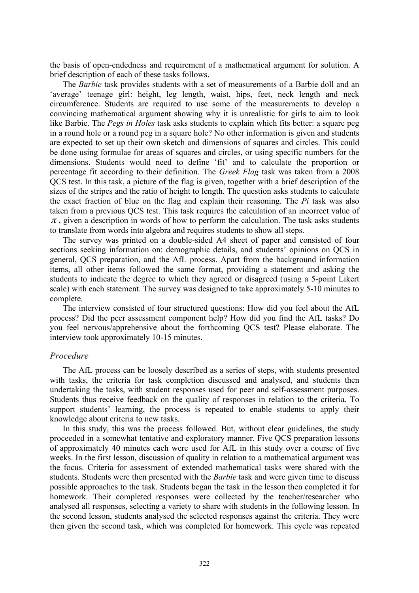the basis of open-endedness and requirement of a mathematical argument for solution. A brief description of each of these tasks follows.

The *Barbie* task provides students with a set of measurements of a Barbie doll and an 'average' teenage girl: height, leg length, waist, hips, feet, neck length and neck circumference. Students are required to use some of the measurements to develop a convincing mathematical argument showing why it is unrealistic for girls to aim to look like Barbie. The *Pegs in Holes* task asks students to explain which fits better: a square peg in a round hole or a round peg in a square hole? No other information is given and students are expected to set up their own sketch and dimensions of squares and circles. This could be done using formulae for areas of squares and circles, or using specific numbers for the dimensions. Students would need to define 'fit' and to calculate the proportion or percentage fit according to their definition. The *Greek Flag* task was taken from a 2008 QCS test. In this task, a picture of the flag is given, together with a brief description of the sizes of the stripes and the ratio of height to length. The question asks students to calculate the exact fraction of blue on the flag and explain their reasoning. The *Pi* task was also taken from a previous QCS test. This task requires the calculation of an incorrect value of  $\pi$ , given a description in words of how to perform the calculation. The task asks students to translate from words into algebra and requires students to show all steps.

The survey was printed on a double-sided A4 sheet of paper and consisted of four sections seeking information on: demographic details, and students' opinions on QCS in general, QCS preparation, and the AfL process. Apart from the background information items, all other items followed the same format, providing a statement and asking the students to indicate the degree to which they agreed or disagreed (using a 5-point Likert scale) with each statement. The survey was designed to take approximately 5-10 minutes to complete.

The interview consisted of four structured questions: How did you feel about the AfL process? Did the peer assessment component help? How did you find the AfL tasks? Do you feel nervous/apprehensive about the forthcoming QCS test? Please elaborate. The interview took approximately 10-15 minutes.

#### *Procedure*

The AfL process can be loosely described as a series of steps, with students presented with tasks, the criteria for task completion discussed and analysed, and students then undertaking the tasks, with student responses used for peer and self-assessment purposes. Students thus receive feedback on the quality of responses in relation to the criteria. To support students' learning, the process is repeated to enable students to apply their knowledge about criteria to new tasks.

In this study, this was the process followed. But, without clear guidelines, the study proceeded in a somewhat tentative and exploratory manner. Five QCS preparation lessons of approximately 40 minutes each were used for AfL in this study over a course of five weeks. In the first lesson, discussion of quality in relation to a mathematical argument was the focus. Criteria for assessment of extended mathematical tasks were shared with the students. Students were then presented with the *Barbie* task and were given time to discuss possible approaches to the task. Students began the task in the lesson then completed it for homework. Their completed responses were collected by the teacher/researcher who analysed all responses, selecting a variety to share with students in the following lesson. In the second lesson, students analysed the selected responses against the criteria. They were then given the second task, which was completed for homework. This cycle was repeated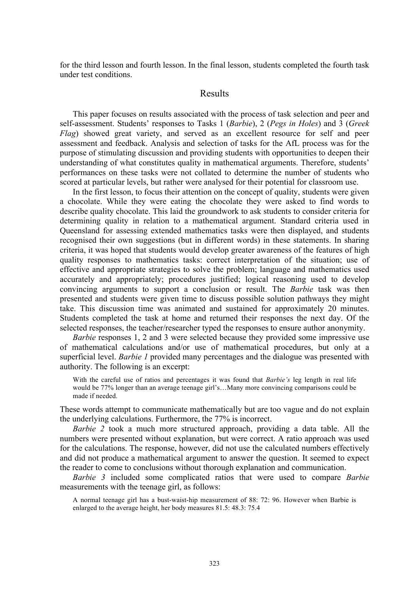for the third lesson and fourth lesson. In the final lesson, students completed the fourth task under test conditions.

## Results

This paper focuses on results associated with the process of task selection and peer and self-assessment. Students' responses to Tasks 1 (*Barbie*), 2 (*Pegs in Holes*) and 3 (*Greek Flag*) showed great variety, and served as an excellent resource for self and peer assessment and feedback. Analysis and selection of tasks for the AfL process was for the purpose of stimulating discussion and providing students with opportunities to deepen their understanding of what constitutes quality in mathematical arguments. Therefore, students' performances on these tasks were not collated to determine the number of students who scored at particular levels, but rather were analysed for their potential for classroom use.

In the first lesson, to focus their attention on the concept of quality, students were given a chocolate. While they were eating the chocolate they were asked to find words to describe quality chocolate. This laid the groundwork to ask students to consider criteria for determining quality in relation to a mathematical argument. Standard criteria used in Queensland for assessing extended mathematics tasks were then displayed, and students recognised their own suggestions (but in different words) in these statements. In sharing criteria, it was hoped that students would develop greater awareness of the features of high quality responses to mathematics tasks: correct interpretation of the situation; use of effective and appropriate strategies to solve the problem; language and mathematics used accurately and appropriately; procedures justified; logical reasoning used to develop convincing arguments to support a conclusion or result. The *Barbie* task was then presented and students were given time to discuss possible solution pathways they might take. This discussion time was animated and sustained for approximately 20 minutes. Students completed the task at home and returned their responses the next day. Of the selected responses, the teacher/researcher typed the responses to ensure author anonymity.

*Barbie* responses 1, 2 and 3 were selected because they provided some impressive use of mathematical calculations and/or use of mathematical procedures, but only at a superficial level. *Barbie 1* provided many percentages and the dialogue was presented with authority. The following is an excerpt:

With the careful use of ratios and percentages it was found that *Barbie's* leg length in real life would be 77% longer than an average teenage girl's…Many more convincing comparisons could be made if needed.

These words attempt to communicate mathematically but are too vague and do not explain the underlying calculations. Furthermore, the 77% is incorrect.

*Barbie 2* took a much more structured approach, providing a data table. All the numbers were presented without explanation, but were correct. A ratio approach was used for the calculations. The response, however, did not use the calculated numbers effectively and did not produce a mathematical argument to answer the question. It seemed to expect the reader to come to conclusions without thorough explanation and communication.

*Barbie 3* included some complicated ratios that were used to compare *Barbie* measurements with the teenage girl, as follows:

A normal teenage girl has a bust-waist-hip measurement of 88: 72: 96. However when Barbie is enlarged to the average height, her body measures 81.5: 48.3: 75.4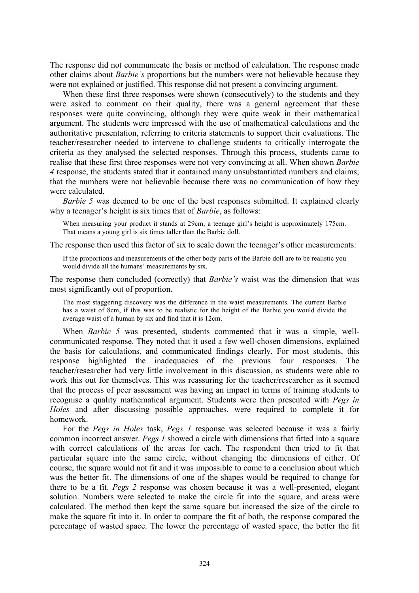The response did not communicate the basis or method of calculation. The response made other claims about *Barbie's* proportions but the numbers were not believable because they were not explained or justified. This response did not present a convincing argument.

When these first three responses were shown (consecutively) to the students and they were asked to comment on their quality, there was a general agreement that these responses were quite convincing, although they were quite weak in their mathematical argument. The students were impressed with the use of mathematical calculations and the authoritative presentation, referring to criteria statements to support their evaluations. The teacher/researcher needed to intervene to challenge students to critically interrogate the criteria as they analysed the selected responses. Through this process, students came to realise that these first three responses were not very convincing at all. When shown *Barbie 4* response, the students stated that it contained many unsubstantiated numbers and claims; that the numbers were not believable because there was no communication of how they were calculated.

*Barbie 5* was deemed to be one of the best responses submitted. It explained clearly why a teenager's height is six times that of *Barbie*, as follows:

When measuring your product it stands at 29cm, a teenage girl's height is approximately 175cm. That means a young girl is six times taller than the Barbie doll.

The response then used this factor of six to scale down the teenager's other measurements:

If the proportions and measurements of the other body parts of the Barbie doll are to be realistic you would divide all the humans' measurements by six.

The response then concluded (correctly) that *Barbie's* waist was the dimension that was most significantly out of proportion.

The most staggering discovery was the difference in the waist measurements. The current Barbie has a waist of 8cm, if this was to be realistic for the height of the Barbie you would divide the average waist of a human by six and find that it is 12cm.

When *Barbie 5* was presented, students commented that it was a simple, wellcommunicated response. They noted that it used a few well-chosen dimensions, explained the basis for calculations, and communicated findings clearly. For most students, this response highlighted the inadequacies of the previous four responses. The teacher/researcher had very little involvement in this discussion, as students were able to work this out for themselves. This was reassuring for the teacher/researcher as it seemed that the process of peer assessment was having an impact in terms of training students to recognise a quality mathematical argument. Students were then presented with *Pegs in Holes* and after discussing possible approaches, were required to complete it for homework.

For the *Pegs in Holes* task, *Pegs 1* response was selected because it was a fairly common incorrect answer. *Pegs 1* showed a circle with dimensions that fitted into a square with correct calculations of the areas for each. The respondent then tried to fit that particular square into the same circle, without changing the dimensions of either. Of course, the square would not fit and it was impossible to come to a conclusion about which was the better fit. The dimensions of one of the shapes would be required to change for there to be a fit. *Pegs 2* response was chosen because it was a well-presented, elegant solution. Numbers were selected to make the circle fit into the square, and areas were calculated. The method then kept the same square but increased the size of the circle to make the square fit into it. In order to compare the fit of both, the response compared the percentage of wasted space. The lower the percentage of wasted space, the better the fit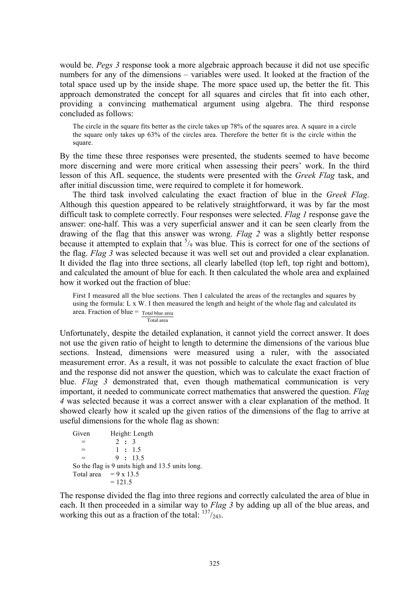would be. *Pegs 3* response took a more algebraic approach because it did not use specific numbers for any of the dimensions – variables were used. It looked at the fraction of the total space used up by the inside shape. The more space used up, the better the fit. This approach demonstrated the concept for all squares and circles that fit into each other, providing a convincing mathematical argument using algebra. The third response concluded as follows:

The circle in the square fits better as the circle takes up 78% of the squares area. A square in a circle the square only takes up 63% of the circles area. Therefore the better fit is the circle within the square.

By the time these three responses were presented, the students seemed to have become more discerning and were more critical when assessing their peers' work. In the third lesson of this AfL sequence, the students were presented with the *Greek Flag* task, and after initial discussion time, were required to complete it for homework.

The third task involved calculating the exact fraction of blue in the *Greek Flag*. Although this question appeared to be relatively straightforward, it was by far the most difficult task to complete correctly. Four responses were selected. *Flag 1* response gave the answer: one-half. This was a very superficial answer and it can be seen clearly from the drawing of the flag that this answer was wrong. *Flag 2* was a slightly better response because it attempted to explain that  $\frac{5}{9}$  was blue. This is correct for one of the sections of the flag. *Flag 3* was selected because it was well set out and provided a clear explanation. It divided the flag into three sections, all clearly labelled (top left, top right and bottom), and calculated the amount of blue for each. It then calculated the whole area and explained how it worked out the fraction of blue:

First I measured all the blue sections. Then I calculated the areas of the rectangles and squares by using the formula: L x W. I then measured the length and height of the whole flag and calculated its area. Fraction of blue = Total blue area Total area

not use the given ratio of height to length to determine the dimensions of the various blue Unfortunately, despite the detailed explanation, it cannot yield the correct answer. It does sections. Instead, dimensions were measured using a ruler, with the associated measurement error. As a result, it was not possible to calculate the exact fraction of blue and the response did not answer the question, which was to calculate the exact fraction of blue. *Flag 3* demonstrated that, even though mathematical communication is very important, it needed to communicate correct mathematics that answered the question. *Flag 4* was selected because it was a correct answer with a clear explanation of the method. It showed clearly how it scaled up the given ratios of the dimensions of the flag to arrive at useful dimensions for the whole flag as shown:

```
Given Height: Length
  = 2 : 3
  = 1 : 1.5
  = 9 : 13.5
So the flag is 9 units high and 13.5 units long.
Total area = 9 \times 13.5= 121.5
```
The response divided the flag into three regions and correctly calculated the area of blue in each. It then proceeded in a similar way to *Flag 3* by adding up all of the blue areas, and working this out as a fraction of the total:  $137/243$ .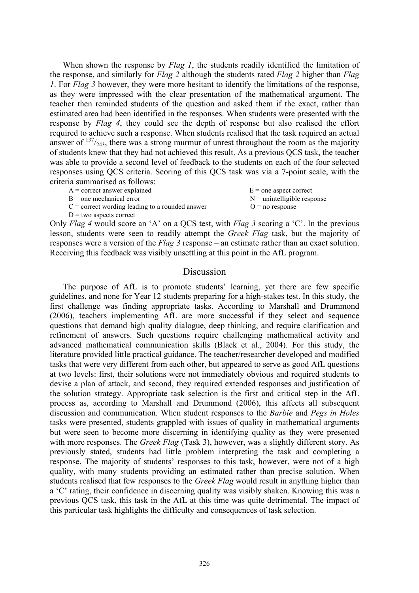When shown the response by *Flag 1*, the students readily identified the limitation of the response, and similarly for *Flag 2* although the students rated *Flag 2* higher than *Flag 1*. For *Flag 3* however, they were more hesitant to identify the limitations of the response, as they were impressed with the clear presentation of the mathematical argument. The teacher then reminded students of the question and asked them if the exact, rather than estimated area had been identified in the responses. When students were presented with the response by *Flag 4*, they could see the depth of response but also realised the effort required to achieve such a response. When students realised that the task required an actual answer of  $137/243$ , there was a strong murmur of unrest throughout the room as the majority of students knew that they had not achieved this result. As a previous QCS task, the teacher was able to provide a second level of feedback to the students on each of the four selected responses using QCS criteria. Scoring of this QCS task was via a 7-point scale, with the criteria summarised as follows:

| $A =$ correct answer explained                    | $E =$ one aspect correct      |
|---------------------------------------------------|-------------------------------|
| $B =$ one mechanical error                        | $N =$ unintelligible response |
| $C$ = correct wording leading to a rounded answer | $Q = no$ response             |
| $D = two$ aspects correct                         |                               |

Only *Flag 4* would score an 'A' on a QCS test, with *Flag 3* scoring a 'C'. In the previous lesson, students were seen to readily attempt the *Greek Flag* task, but the majority of responses were a version of the *Flag 3* response – an estimate rather than an exact solution. Receiving this feedback was visibly unsettling at this point in the AfL program.

#### Discussion

The purpose of AfL is to promote students' learning, yet there are few specific guidelines, and none for Year 12 students preparing for a high-stakes test. In this study, the first challenge was finding appropriate tasks. According to Marshall and Drummond (2006), teachers implementing AfL are more successful if they select and sequence questions that demand high quality dialogue, deep thinking, and require clarification and refinement of answers. Such questions require challenging mathematical activity and advanced mathematical communication skills (Black et al., 2004). For this study, the literature provided little practical guidance. The teacher/researcher developed and modified tasks that were very different from each other, but appeared to serve as good AfL questions at two levels: first, their solutions were not immediately obvious and required students to devise a plan of attack, and second, they required extended responses and justification of the solution strategy. Appropriate task selection is the first and critical step in the AfL process as, according to Marshall and Drummond (2006), this affects all subsequent discussion and communication. When student responses to the *Barbie* and *Pegs in Holes* tasks were presented, students grappled with issues of quality in mathematical arguments but were seen to become more discerning in identifying quality as they were presented with more responses. The *Greek Flag* (Task 3), however, was a slightly different story. As previously stated, students had little problem interpreting the task and completing a response. The majority of students' responses to this task, however, were not of a high quality, with many students providing an estimated rather than precise solution. When students realised that few responses to the *Greek Flag* would result in anything higher than a 'C' rating, their confidence in discerning quality was visibly shaken. Knowing this was a previous QCS task, this task in the AfL at this time was quite detrimental. The impact of this particular task highlights the difficulty and consequences of task selection.